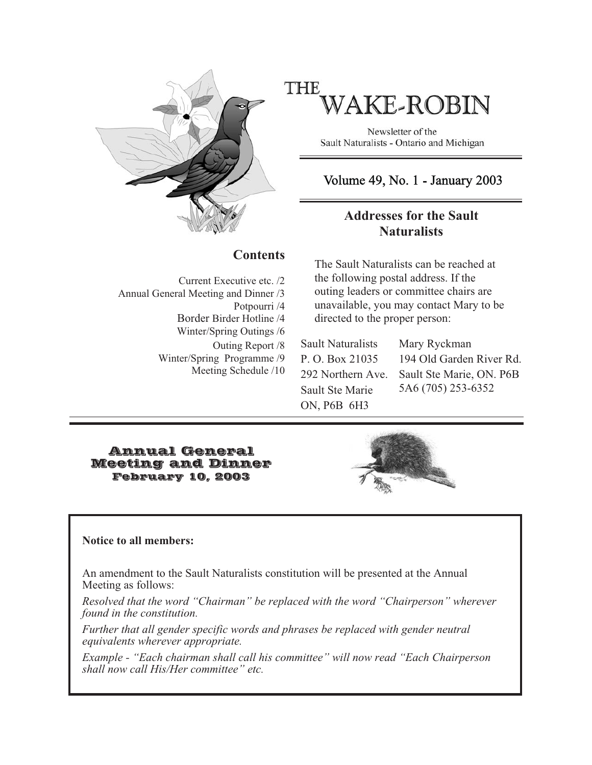

# **THE AKE-ROBIN**

Newsletter of the Sault Naturalists - Ontario and Michigan

# Volume 49, No. 1 - January 2003

## **Addresses for the Sault Naturalists**

#### **Contents**

Current Executive etc. /2 Annual General Meeting and Dinner /3 Potpourri /4 Border Birder Hotline /4 Winter/Spring Outings /6 Outing Report /8 Winter/Spring Programme /9 Meeting Schedule /10

The Sault Naturalists can be reached at the following postal address. If the outing leaders or committee chairs are unavailable, you may contact Mary to be directed to the proper person:

Sault Naturalists P. O. Box 21035 292 Northern Ave. Sault Ste Marie ON, P6B 6H3

Mary Ryckman 194 Old Garden River Rd. Sault Ste Marie, ON. P6B 5A6 (705) 253-6352

#### Annual General Meeting and Dinner February 10, 2003



#### **Notice to all members:**

An amendment to the Sault Naturalists constitution will be presented at the Annual Meeting as follows:

*Resolved that the word "Chairman" be replaced with the word "Chairperson" wherever found in the constitution.*

*Further that all gender specific words and phrases be replaced with gender neutral equivalents wherever appropriate.*

*Example - "Each chairman shall call his committee" will now read "Each Chairperson shall now call His/Her committee" etc.*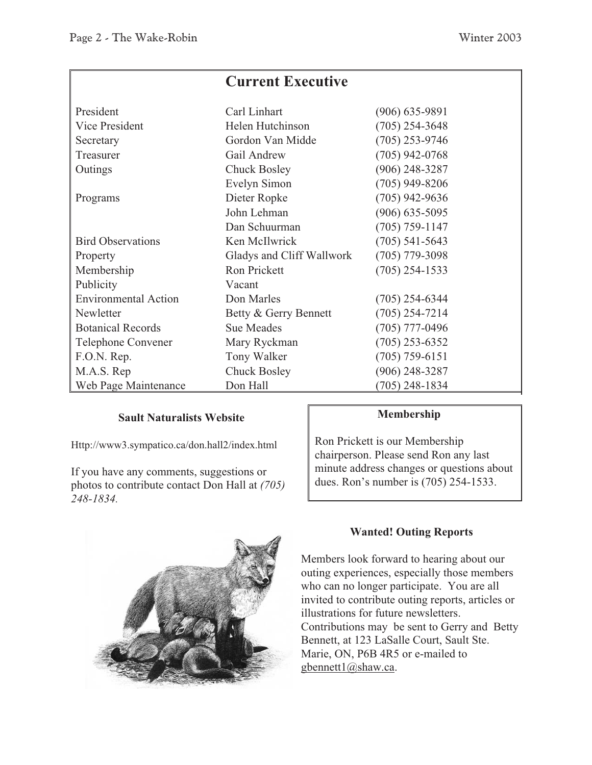|                             | <b>Current Executive</b>  |                    |
|-----------------------------|---------------------------|--------------------|
| President                   | Carl Linhart              | $(906)$ 635-9891   |
| Vice President              | Helen Hutchinson          | $(705)$ 254-3648   |
| Secretary                   | Gordon Van Midde          | $(705)$ 253-9746   |
| Treasurer                   | Gail Andrew               | $(705)$ 942-0768   |
| Outings                     | <b>Chuck Bosley</b>       | $(906)$ 248-3287   |
|                             | Evelyn Simon              | $(705)$ 949-8206   |
| Programs                    | Dieter Ropke              | $(705)$ 942-9636   |
|                             | John Lehman               | $(906) 635 - 5095$ |
|                             | Dan Schuurman             | $(705) 759 - 1147$ |
| <b>Bird Observations</b>    | Ken McIlwrick             | $(705)$ 541-5643   |
| Property                    | Gladys and Cliff Wallwork | $(705)$ 779-3098   |
| Membership                  | Ron Prickett              | $(705)$ 254-1533   |
| Publicity                   | Vacant                    |                    |
| <b>Environmental Action</b> | Don Marles                | $(705)$ 254-6344   |
| Newletter                   | Betty & Gerry Bennett     | $(705)$ 254-7214   |
| <b>Botanical Records</b>    | <b>Sue Meades</b>         | $(705)$ 777-0496   |
| Telephone Convener          | Mary Ryckman              | $(705)$ 253-6352   |
| F.O.N. Rep.                 | Tony Walker               | $(705) 759 - 6151$ |
| M.A.S. Rep                  | <b>Chuck Bosley</b>       | $(906)$ 248-3287   |
| Web Page Maintenance        | Don Hall                  | $(705)$ 248-1834   |

#### **Sault Naturalists Website**

Http://www3.sympatico.ca/don.hall2/index.html

If you have any comments, suggestions or photos to contribute contact Don Hall at *(705) 248-1834.*



#### **Membership**

Ron Prickett is our Membership chairperson. Please send Ron any last minute address changes or questions about dues. Ron's number is (705) 254-1533.

### **Wanted! Outing Reports**

Members look forward to hearing about our outing experiences, especially those members who can no longer participate. You are all invited to contribute outing reports, articles or illustrations for future newsletters. Contributions may be sent to Gerry and Betty Bennett, at 123 LaSalle Court, Sault Ste. Marie, ON, P6B 4R5 or e-mailed to gbennett1@shaw.ca.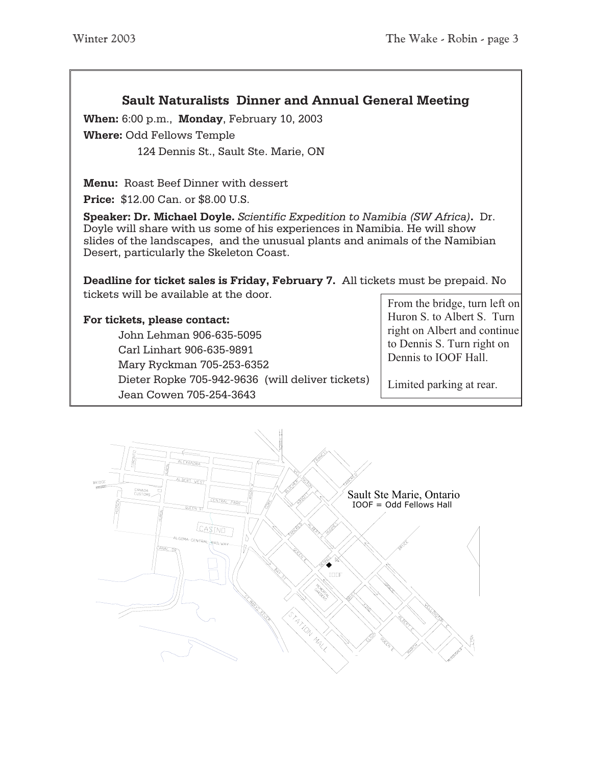### **Sault Naturalists Dinner and Annual General Meeting**

**When:** 6:00 p.m., **Monday**, February 10, 2003 **Where:** Odd Fellows Temple

124 Dennis St., Sault Ste. Marie, ON

**Menu:** Roast Beef Dinner with dessert

**Price:** \$12.00 Can. or \$8.00 U.S.

**Speaker: Dr. Michael Doyle.** *Scientific Expedition to Namibia (SW Africa)***.** Dr. Doyle will share with us some of his experiences in Namibia. He will show slides of the landscapes, and the unusual plants and animals of the Namibian Desert, particularly the Skeleton Coast.

**Deadline for ticket sales is Friday, February 7.** All tickets must be prepaid. No tickets will be available at the door.

**For tickets, please contact:** John Lehman 906-635-5095 Carl Linhart 906-635-9891 Mary Ryckman 705-253-6352 Dieter Ropke 705-942-9636 (will deliver tickets) Jean Cowen 705-254-3643

From the bridge, turn left on Huron S. to Albert S. Turn right on Albert and continue to Dennis S. Turn right on Dennis to IOOF Hall.

Limited parking at rear.

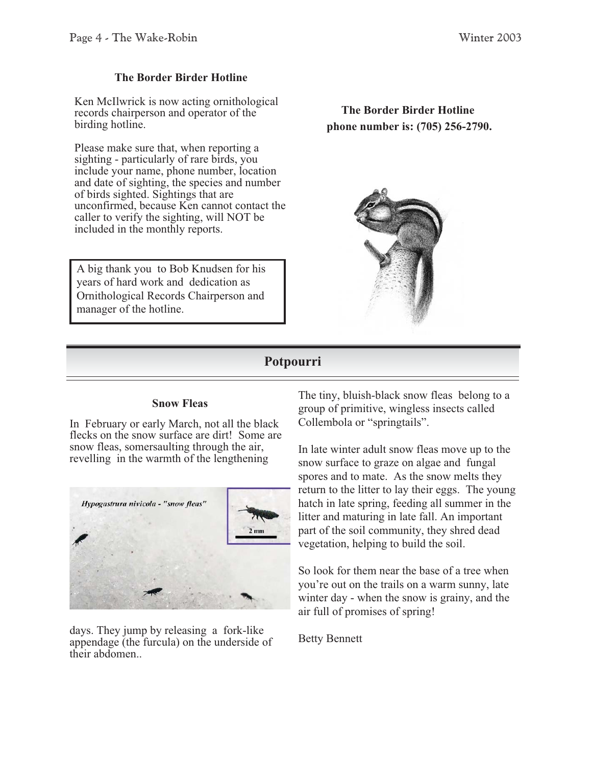#### **The Border Birder Hotline**

Ken McIlwrick is now acting ornithological records chairperson and operator of the birding hotline.

Please make sure that, when reporting a sighting - particularly of rare birds, you include your name, phone number, location and date of sighting, the species and number of birds sighted. Sightings that are unconfirmed, because Ken cannot contact the caller to verify the sighting, will NOT be included in the monthly reports.

A big thank you to Bob Knudsen for his years of hard work and dedication as Ornithological Records Chairperson and manager of the hotline.

**The Border Birder Hotline phone number is: (705) 256-2790.**



### **Potpourri**

#### **Snow Fleas**

In February or early March, not all the black flecks on the snow surface are dirt! Some are snow fleas, somersaulting through the air, revelling in the warmth of the lengthening



days. They jump by releasing a fork-like appendage (the furcula) on the underside of their abdomen..

The tiny, bluish-black snow fleas belong to a group of primitive, wingless insects called Collembola or "springtails".

In late winter adult snow fleas move up to the snow surface to graze on algae and fungal spores and to mate. As the snow melts they return to the litter to lay their eggs. The young hatch in late spring, feeding all summer in the litter and maturing in late fall. An important part of the soil community, they shred dead vegetation, helping to build the soil.

So look for them near the base of a tree when you're out on the trails on a warm sunny, late winter day - when the snow is grainy, and the air full of promises of spring!

Betty Bennett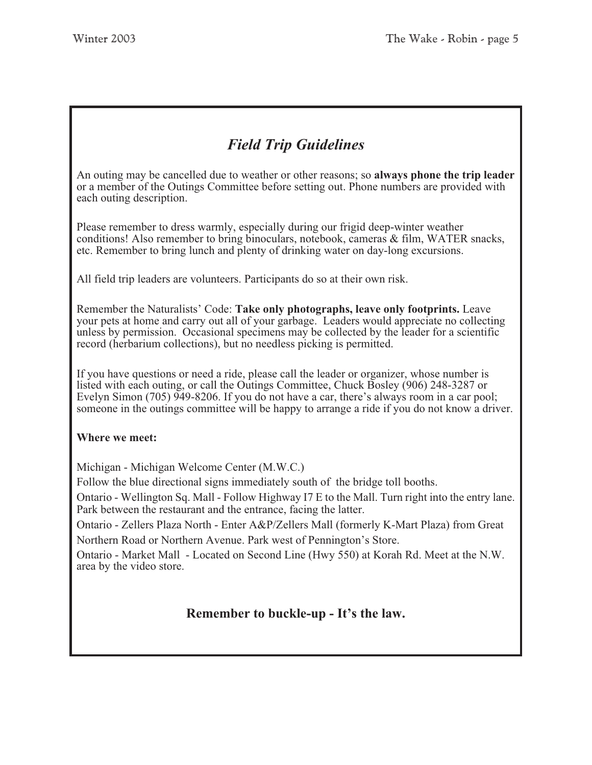# *Field Trip Guidelines*

An outing may be cancelled due to weather or other reasons; so **always phone the trip leader** or a member of the Outings Committee before setting out. Phone numbers are provided with each outing description.

Please remember to dress warmly, especially during our frigid deep-winter weather conditions! Also remember to bring binoculars, notebook, cameras & film, WATER snacks, etc. Remember to bring lunch and plenty of drinking water on day-long excursions.

All field trip leaders are volunteers. Participants do so at their own risk.

Remember the Naturalists' Code: **Take only photographs, leave only footprints.** Leave your pets at home and carry out all of your garbage. Leaders would appreciate no collecting unless by permission. Occasional specimens may be collected by the leader for a scientific record (herbarium collections), but no needless picking is permitted.

If you have questions or need a ride, please call the leader or organizer, whose number is listed with each outing, or call the Outings Committee, Chuck Bosley (906) 248-3287 or Evelyn Simon (705) 949-8206. If you do not have a car, there's always room in a car pool; someone in the outings committee will be happy to arrange a ride if you do not know a driver.

#### **Where we meet:**

Michigan - Michigan Welcome Center (M.W.C.)

Follow the blue directional signs immediately south of the bridge toll booths.

Ontario - Wellington Sq. Mall - Follow Highway I7 E to the Mall. Turn right into the entry lane. Park between the restaurant and the entrance, facing the latter.

Ontario - Zellers Plaza North - Enter A&P/Zellers Mall (formerly K-Mart Plaza) from Great Northern Road or Northern Avenue. Park west of Pennington's Store.

Ontario - Market Mall - Located on Second Line (Hwy 550) at Korah Rd. Meet at the N.W. area by the video store.

## **Remember to buckle-up - It's the law.**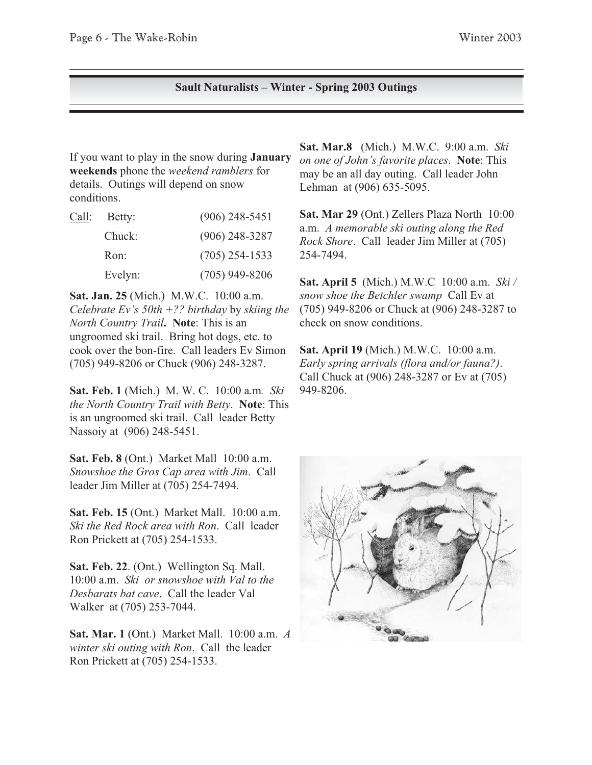#### **Sault Naturalists – Winter - Spring 2003 Outings**

If you want to play in the snow during **January weekends** phone the *weekend ramblers* for details. Outings will depend on snow conditions.

| Call: | Betty:  | $(906)$ 248-5451 |
|-------|---------|------------------|
|       | Chuck:  | $(906)$ 248-3287 |
|       | Ron:    | $(705)$ 254-1533 |
|       | Evelyn: | $(705)$ 949-8206 |

**Sat. Jan. 25** (Mich.) M.W.C. 10:00 a.m. *Celebrate Ev's 50th +?? birthday* by *skiing the North Country Trail***. Note**: This is an ungroomed ski trail. Bring hot dogs, etc. to cook over the bon-fire. Call leaders Ev Simon (705) 949-8206 or Chuck (906) 248-3287.

**Sat. Feb. 1** (Mich.) M. W. C. 10:00 a.m*. Ski the North Country Trail with Betty*. **Note**: This is an ungroomed ski trail. Call leader Betty Nassoiy at (906) 248-5451.

**Sat. Feb. 8** (Ont.) Market Mall 10:00 a.m. *Snowshoe the Gros Cap area with Jim*. Call leader Jim Miller at (705) 254-7494.

**Sat. Feb. 15** (Ont.) Market Mall. 10:00 a.m. *Ski the Red Rock area with Ron*. Call leader Ron Prickett at (705) 254-1533.

**Sat. Feb. 22**. (Ont.) Wellington Sq. Mall. 10:00 a.m. *Ski or snowshoe with Val to the Desbarats bat cave*. Call the leader Val Walker at (705) 253-7044.

**Sat. Mar. 1** (Ont.) Market Mall. 10:00 a.m. *A winter ski outing with Ron*. Call the leader Ron Prickett at (705) 254-1533.

**Sat. Mar.8** (Mich.) M.W.C. 9:00 a.m. *Ski on one of John's favorite places*. **Note**: This may be an all day outing. Call leader John Lehman at (906) 635-5095.

**Sat. Mar 29** (Ont.) Zellers Plaza North 10:00 a.m. *A memorable ski outing along the Red Rock Shore*. Call leader Jim Miller at (705) 254-7494.

**Sat. April 5** (Mich.) M.W.C 10:00 a.m. *Ski / snow shoe the Betchler swamp* Call Ev at (705) 949-8206 or Chuck at (906) 248-3287 to check on snow conditions.

**Sat. April 19** (Mich.) M.W.C. 10:00 a.m. *Early spring arrivals (flora and/or fauna?)*. Call Chuck at (906) 248-3287 or Ev at (705) 949-8206.

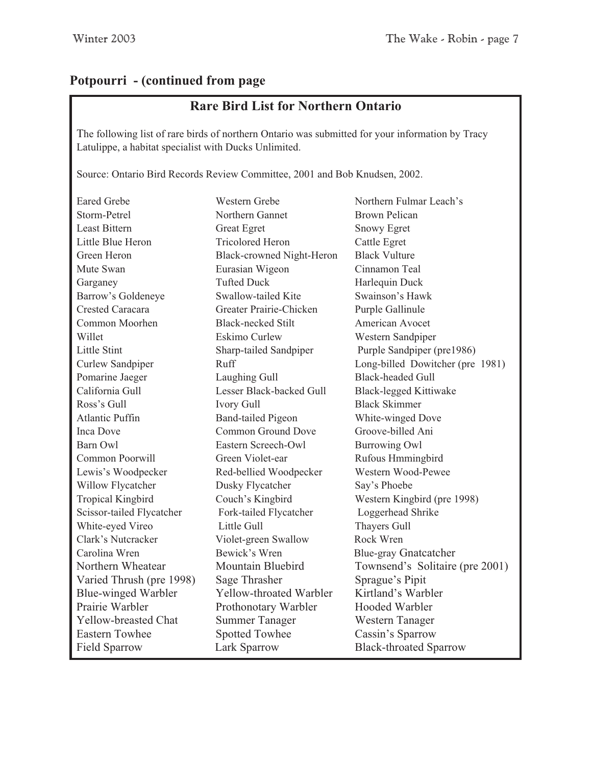# **Potpourri - (continued from page**

# **Rare Bird List for Northern Ontario**

The following list of rare birds of northern Ontario was submitted for your information by Tracy Latulippe, a habitat specialist with Ducks Unlimited.

Source: Ontario Bird Records Review Committee, 2001 and Bob Knudsen, 2002.

| <b>Eared Grebe</b>         | Western Grebe                    | Northern Fulmar Leach's          |
|----------------------------|----------------------------------|----------------------------------|
| Storm-Petrel               | Northern Gannet                  | <b>Brown Pelican</b>             |
| <b>Least Bittern</b>       | <b>Great Egret</b>               | <b>Snowy Egret</b>               |
| Little Blue Heron          | <b>Tricolored Heron</b>          | Cattle Egret                     |
| Green Heron                | <b>Black-crowned Night-Heron</b> | <b>Black Vulture</b>             |
| Mute Swan                  | Eurasian Wigeon                  | Cinnamon Teal                    |
| Garganey                   | <b>Tufted Duck</b>               | Harlequin Duck                   |
| Barrow's Goldeneye         | Swallow-tailed Kite              | Swainson's Hawk                  |
| Crested Caracara           | Greater Prairie-Chicken          | Purple Gallinule                 |
| Common Moorhen             | <b>Black-necked Stilt</b>        | American Avocet                  |
| Willet                     | <b>Eskimo Curlew</b>             | Western Sandpiper                |
| Little Stint               | Sharp-tailed Sandpiper           | Purple Sandpiper (pre1986)       |
| Curlew Sandpiper           | Ruff                             | Long-billed Dowitcher (pre 1981) |
| Pomarine Jaeger            | Laughing Gull                    | <b>Black-headed Gull</b>         |
| California Gull            | Lesser Black-backed Gull         | <b>Black-legged Kittiwake</b>    |
| Ross's Gull                | <b>Ivory Gull</b>                | <b>Black Skimmer</b>             |
| <b>Atlantic Puffin</b>     | <b>Band-tailed Pigeon</b>        | White-winged Dove                |
| Inca Dove                  | Common Ground Dove               | Groove-billed Ani                |
| Barn Owl                   | Eastern Screech-Owl              | <b>Burrowing Owl</b>             |
| Common Poorwill            | Green Violet-ear                 | Rufous Hmmingbird                |
| Lewis's Woodpecker         | Red-bellied Woodpecker           | Western Wood-Pewee               |
| Willow Flycatcher          | Dusky Flycatcher                 | Say's Phoebe                     |
| <b>Tropical Kingbird</b>   | Couch's Kingbird                 | Western Kingbird (pre 1998)      |
| Scissor-tailed Flycatcher  | Fork-tailed Flycatcher           | Loggerhead Shrike                |
| White-eyed Vireo           | Little Gull                      | <b>Thayers Gull</b>              |
| Clark's Nutcracker         | Violet-green Swallow             | Rock Wren                        |
| Carolina Wren              | Bewick's Wren                    | <b>Blue-gray Gnatcatcher</b>     |
| Northern Wheatear          | Mountain Bluebird                | Townsend's Solitaire (pre 2001)  |
| Varied Thrush (pre 1998)   | Sage Thrasher                    | Sprague's Pipit                  |
| <b>Blue-winged Warbler</b> | Yellow-throated Warbler          | Kirtland's Warbler               |
| Prairie Warbler            | Prothonotary Warbler             | <b>Hooded Warbler</b>            |
| Yellow-breasted Chat       | <b>Summer Tanager</b>            | <b>Western Tanager</b>           |
| <b>Eastern Towhee</b>      | <b>Spotted Towhee</b>            | Cassin's Sparrow                 |
| <b>Field Sparrow</b>       | Lark Sparrow                     | <b>Black-throated Sparrow</b>    |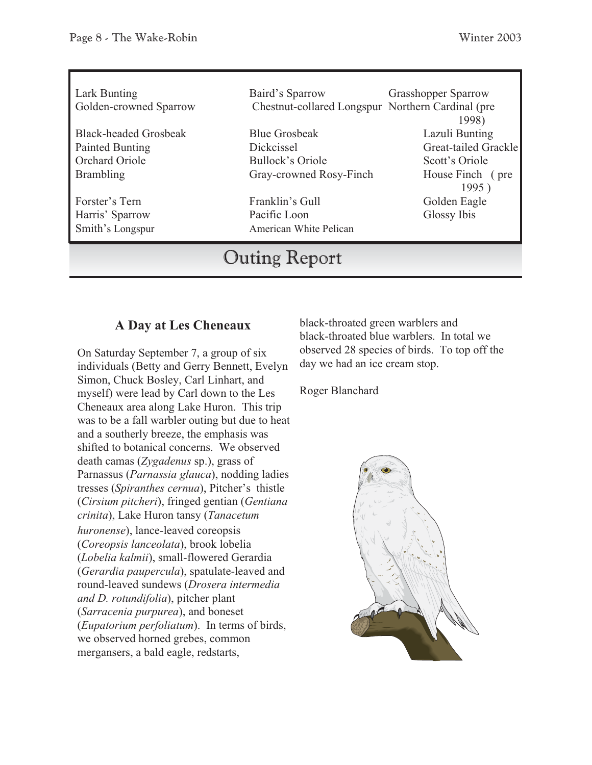| Lark Bunting<br>Golden-crowned Sparrow          | Baird's Sparrow<br>Chestnut-collared Longspur Northern Cardinal (pre | <b>Grasshopper Sparrow</b><br>1998)    |
|-------------------------------------------------|----------------------------------------------------------------------|----------------------------------------|
| <b>Black-headed Grosbeak</b><br>Painted Bunting | <b>Blue Grosbeak</b><br>Dickcissel                                   | Lazuli Bunting<br>Great-tailed Grackle |
| Orchard Oriole                                  | Bullock's Oriole                                                     | Scott's Oriole                         |
| <b>Brambling</b>                                | Gray-crowned Rosy-Finch                                              | House Finch (pre<br>1995)              |
| Forster's Tern                                  | Franklin's Gull                                                      | Golden Eagle                           |
| Harris' Sparrow                                 | Pacific Loon                                                         | Glossy Ibis                            |
| Smith's Longspur                                | American White Pelican                                               |                                        |

# **Outing Report**

### **A Day at Les Cheneaux**

On Saturday September 7, a group of six individuals (Betty and Gerry Bennett, Evelyn Simon, Chuck Bosley, Carl Linhart, and myself) were lead by Carl down to the Les Cheneaux area along Lake Huron. This trip was to be a fall warbler outing but due to heat and a southerly breeze, the emphasis was shifted to botanical concerns. We observed death camas (*Zygadenus* sp.), grass of Parnassus (*Parnassia glauca*), nodding ladies tresses (*Spiranthes cernua*), Pitcher's thistle (*Cirsium pitcheri*), fringed gentian (*Gentiana crinita*), Lake Huron tansy (*Tanacetum huronense*), lance-leaved coreopsis (*Coreopsis lanceolata*), brook lobelia (*Lobelia kalmii*), small-flowered Gerardia (*Gerardia paupercula*), spatulate-leaved and round-leaved sundews (*Drosera intermedia and D. rotundifolia*), pitcher plant (*Sarracenia purpurea*), and boneset (*Eupatorium perfoliatum*). In terms of birds, we observed horned grebes, common mergansers, a bald eagle, redstarts,

black-throated green warblers and black-throated blue warblers. In total we observed 28 species of birds. To top off the day we had an ice cream stop.

Roger Blanchard

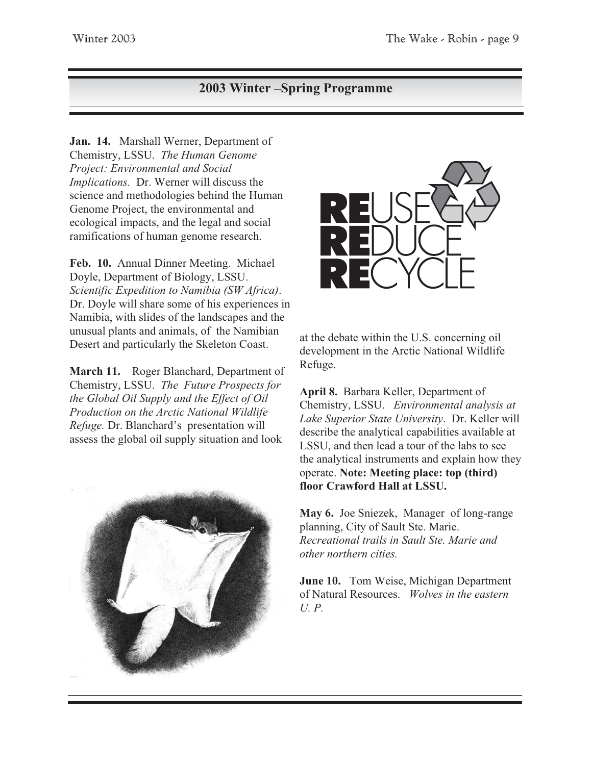# **2003 Winter –Spring Programme**

**Jan. 14.** Marshall Werner, Department of Chemistry, LSSU. *The Human Genome Project: Environmental and Social Implications.* Dr. Werner will discuss the science and methodologies behind the Human Genome Project, the environmental and ecological impacts, and the legal and social ramifications of human genome research.

**Feb. 10.** Annual Dinner Meeting. Michael Doyle, Department of Biology, LSSU. *Scientific Expedition to Namibia (SW Africa)*. Dr. Doyle will share some of his experiences in Namibia, with slides of the landscapes and the unusual plants and animals, of the Namibian Desert and particularly the Skeleton Coast.

**March 11.** Roger Blanchard, Department of Chemistry, LSSU. *The Future Prospects for the Global Oil Supply and the Effect of Oil Production on the Arctic National Wildlife Refuge.* Dr. Blanchard's presentation will assess the global oil supply situation and look





at the debate within the U.S. concerning oil development in the Arctic National Wildlife Refuge.

**April 8.** Barbara Keller, Department of Chemistry, LSSU. *Environmental analysis at Lake Superior State University*. Dr. Keller will describe the analytical capabilities available at LSSU, and then lead a tour of the labs to see the analytical instruments and explain how they operate. **Note: Meeting place: top (third) floor Crawford Hall at LSSU.**

**May 6.** Joe Sniezek, Manager of long-range planning, City of Sault Ste. Marie. *Recreational trails in Sault Ste. Marie and other northern cities.*

**June 10.** Tom Weise, Michigan Department of Natural Resources. *Wolves in the eastern U. P.*